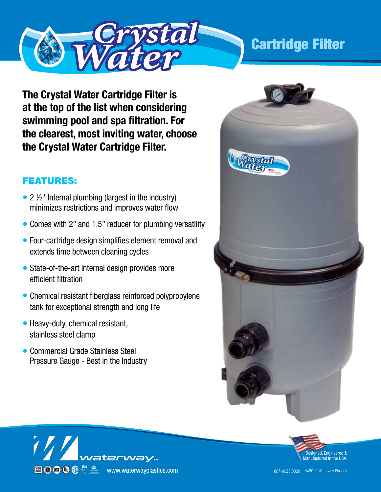

**The Crystal Water Cartridge Filter is at the top of the list when considering swimming pool and spa filtration. For the clearest, most inviting water, choose the Crystal Water Cartridge Filter.**

## FEATURES:

- 2 ½" Internal plumbing (largest in the industry) minimizes restrictions and improves water flow
- Comes with 2" and 1.5" reducer for plumbing versatility
- Four-cartridge design simplifies element removal and extends time between cleaning cycles
- State-of-the-art internal design provides more efficient filtration
- Chemical resistant fiberglass reinforced polypropylene tank for exceptional strength and long life
- Heavy-duty, chemical resistant, stainless steel clamp
- Commercial Grade Stainless Steel Pressure Gauge - Best in the Industry